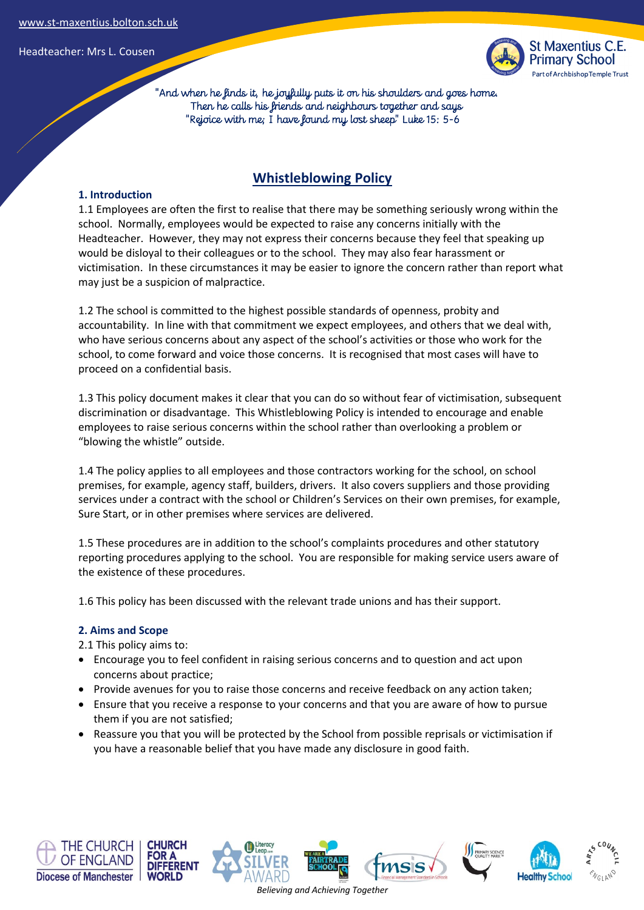

 "And when he finds it, he joyfully puts it on his shoulders and goes home. Then he calls his friends and neighbours together and says "Rejoice with me; I have found my lost sheep" Luke 15: 5-6

# **Whistleblowing Policy**

### **1. Introduction**

1.1 Employees are often the first to realise that there may be something seriously wrong within the school. Normally, employees would be expected to raise any concerns initially with the Headteacher. However, they may not express their concerns because they feel that speaking up would be disloyal to their colleagues or to the school. They may also fear harassment or victimisation. In these circumstances it may be easier to ignore the concern rather than report what may just be a suspicion of malpractice.

1.2 The school is committed to the highest possible standards of openness, probity and accountability. In line with that commitment we expect employees, and others that we deal with, who have serious concerns about any aspect of the school's activities or those who work for the school, to come forward and voice those concerns. It is recognised that most cases will have to proceed on a confidential basis.

1.3 This policy document makes it clear that you can do so without fear of victimisation, subsequent discrimination or disadvantage. This Whistleblowing Policy is intended to encourage and enable employees to raise serious concerns within the school rather than overlooking a problem or "blowing the whistle" outside.

1.4 The policy applies to all employees and those contractors working for the school, on school premises, for example, agency staff, builders, drivers. It also covers suppliers and those providing services under a contract with the school or Children's Services on their own premises, for example, Sure Start, or in other premises where services are delivered.

1.5 These procedures are in addition to the school's complaints procedures and other statutory reporting procedures applying to the school. You are responsible for making service users aware of the existence of these procedures.

1.6 This policy has been discussed with the relevant trade unions and has their support.

### **2. Aims and Scope**

2.1 This policy aims to:

- Encourage you to feel confident in raising serious concerns and to question and act upon concerns about practice;
- Provide avenues for you to raise those concerns and receive feedback on any action taken;
- Ensure that you receive a response to your concerns and that you are aware of how to pursue them if you are not satisfied;
- Reassure you that you will be protected by the School from possible reprisals or victimisation if you have a reasonable belief that you have made any disclosure in good faith.











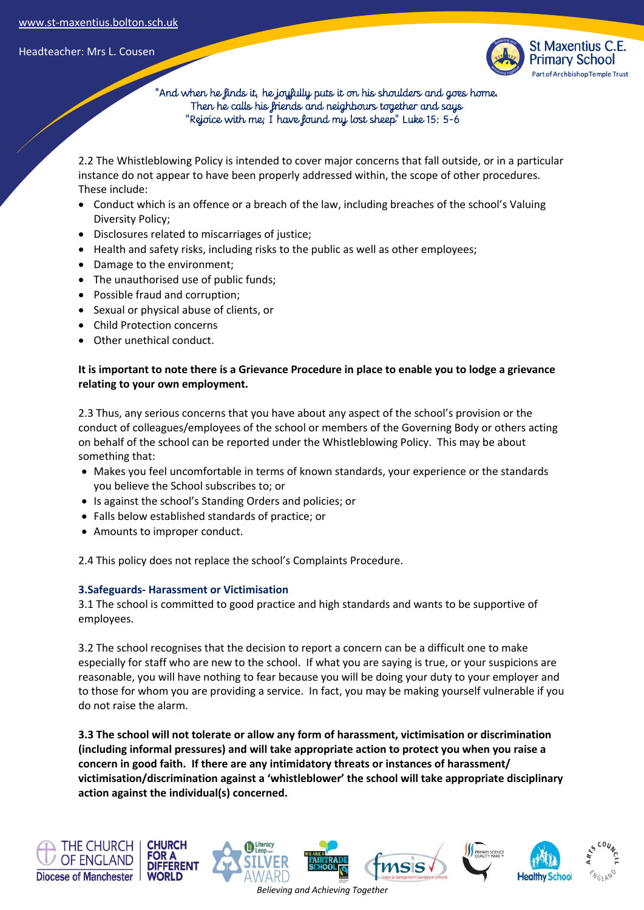

 "And when he finds it, he joyfully puts it on his shoulders and goes home. Then he calls his friends and neighbours together and says "Rejoice with me; I have found my lost sheep" Luke 15: 5-6

2.2 The Whistleblowing Policy is intended to cover major concerns that fall outside, or in a particular instance do not appear to have been properly addressed within, the scope of other procedures. These include:

- Conduct which is an offence or a breach of the law, including breaches of the school's Valuing Diversity Policy;
- Disclosures related to miscarriages of justice;
- Health and safety risks, including risks to the public as well as other employees;
- Damage to the environment;
- The unauthorised use of public funds;
- Possible fraud and corruption;
- Sexual or physical abuse of clients, or
- Child Protection concerns
- Other unethical conduct.

## **It is important to note there is a Grievance Procedure in place to enable you to lodge a grievance relating to your own employment.**

2.3 Thus, any serious concerns that you have about any aspect of the school's provision or the conduct of colleagues/employees of the school or members of the Governing Body or others acting on behalf of the school can be reported under the Whistleblowing Policy. This may be about something that:

- Makes you feel uncomfortable in terms of known standards, your experience or the standards you believe the School subscribes to; or
- Is against the school's Standing Orders and policies; or
- Falls below established standards of practice; or
- Amounts to improper conduct.

2.4 This policy does not replace the school's Complaints Procedure.

### **3.Safeguards- Harassment or Victimisation**

3.1 The school is committed to good practice and high standards and wants to be supportive of employees.

3.2 The school recognises that the decision to report a concern can be a difficult one to make especially for staff who are new to the school. If what you are saying is true, or your suspicions are reasonable, you will have nothing to fear because you will be doing your duty to your employer and to those for whom you are providing a service. In fact, you may be making yourself vulnerable if you do not raise the alarm.

**3.3 The school will not tolerate or allow any form of harassment, victimisation or discrimination (including informal pressures) and will take appropriate action to protect you when you raise a concern in good faith. If there are any intimidatory threats or instances of harassment/ victimisation/discrimination against a 'whistleblower' the school will take appropriate disciplinary action against the individual(s) concerned.**



*Believing and Achieving Together*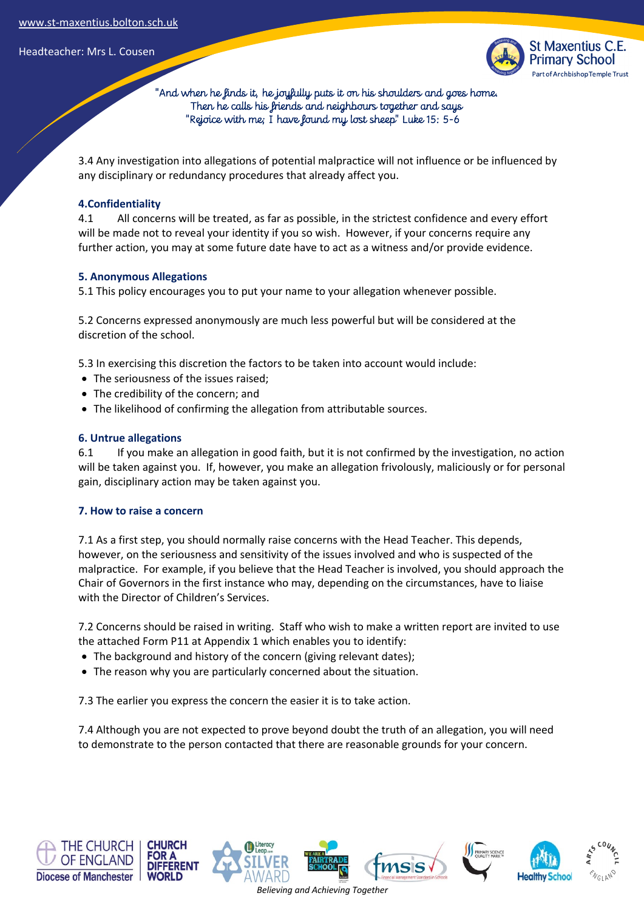

 "And when he finds it, he joyfully puts it on his shoulders and goes home. Then he calls his friends and neighbours together and says "Rejoice with me; I have found my lost sheep" Luke 15: 5-6

3.4 Any investigation into allegations of potential malpractice will not influence or be influenced by any disciplinary or redundancy procedures that already affect you.

## **4.Confidentiality**

4.1 All concerns will be treated, as far as possible, in the strictest confidence and every effort will be made not to reveal your identity if you so wish. However, if your concerns require any further action, you may at some future date have to act as a witness and/or provide evidence.

## **5. Anonymous Allegations**

5.1 This policy encourages you to put your name to your allegation whenever possible.

5.2 Concerns expressed anonymously are much less powerful but will be considered at the discretion of the school.

5.3 In exercising this discretion the factors to be taken into account would include:

- The seriousness of the issues raised;
- The credibility of the concern; and
- The likelihood of confirming the allegation from attributable sources.

### **6. Untrue allegations**

6.1 If you make an allegation in good faith, but it is not confirmed by the investigation, no action will be taken against you. If, however, you make an allegation frivolously, maliciously or for personal gain, disciplinary action may be taken against you.

### **7. How to raise a concern**

7.1 As a first step, you should normally raise concerns with the Head Teacher. This depends, however, on the seriousness and sensitivity of the issues involved and who is suspected of the malpractice. For example, if you believe that the Head Teacher is involved, you should approach the Chair of Governors in the first instance who may, depending on the circumstances, have to liaise with the Director of Children's Services.

7.2 Concerns should be raised in writing. Staff who wish to make a written report are invited to use the attached Form P11 at Appendix 1 which enables you to identify:

- The background and history of the concern (giving relevant dates);
- The reason why you are particularly concerned about the situation.

7.3 The earlier you express the concern the easier it is to take action.

7.4 Although you are not expected to prove beyond doubt the truth of an allegation, you will need to demonstrate to the person contacted that there are reasonable grounds for your concern.











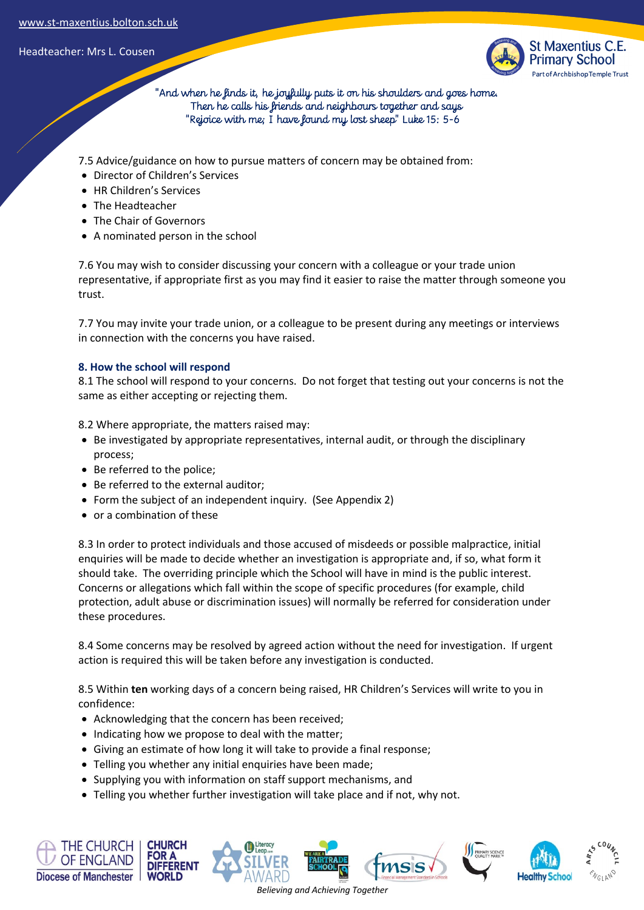

 "And when he finds it, he joyfully puts it on his shoulders and goes home. Then he calls his friends and neighbours together and says "Rejoice with me; I have found my lost sheep" Luke 15: 5-6

7.5 Advice/guidance on how to pursue matters of concern may be obtained from:

- Director of Children's Services
- HR Children's Services
- The Headteacher
- The Chair of Governors
- A nominated person in the school

7.6 You may wish to consider discussing your concern with a colleague or your trade union representative, if appropriate first as you may find it easier to raise the matter through someone you trust.

7.7 You may invite your trade union, or a colleague to be present during any meetings or interviews in connection with the concerns you have raised.

## **8. How the school will respond**

8.1 The school will respond to your concerns. Do not forget that testing out your concerns is not the same as either accepting or rejecting them.

8.2 Where appropriate, the matters raised may:

- Be investigated by appropriate representatives, internal audit, or through the disciplinary process;
- Be referred to the police;
- Be referred to the external auditor;
- Form the subject of an independent inquiry. (See Appendix 2)
- or a combination of these

8.3 In order to protect individuals and those accused of misdeeds or possible malpractice, initial enquiries will be made to decide whether an investigation is appropriate and, if so, what form it should take. The overriding principle which the School will have in mind is the public interest. Concerns or allegations which fall within the scope of specific procedures (for example, child protection, adult abuse or discrimination issues) will normally be referred for consideration under these procedures.

8.4 Some concerns may be resolved by agreed action without the need for investigation. If urgent action is required this will be taken before any investigation is conducted.

8.5 Within **ten** working days of a concern being raised, HR Children's Services will write to you in confidence:

- Acknowledging that the concern has been received;
- Indicating how we propose to deal with the matter;
- Giving an estimate of how long it will take to provide a final response;
- Telling you whether any initial enquiries have been made;
- Supplying you with information on staff support mechanisms, and
- Telling you whether further investigation will take place and if not, why not.

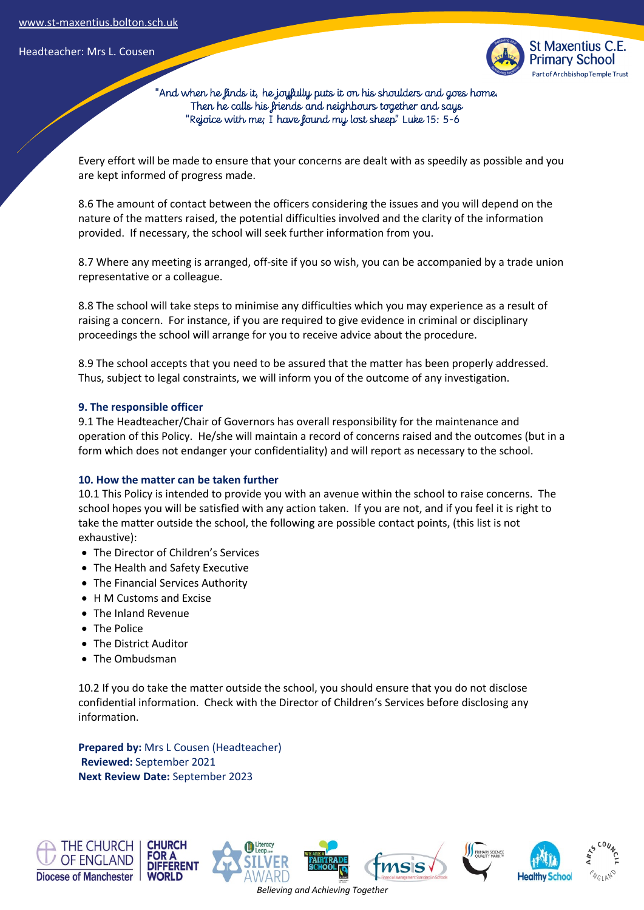

 "And when he finds it, he joyfully puts it on his shoulders and goes home. Then he calls his friends and neighbours together and says "Rejoice with me; I have found my lost sheep" Luke 15: 5-6

Every effort will be made to ensure that your concerns are dealt with as speedily as possible and you are kept informed of progress made.

8.6 The amount of contact between the officers considering the issues and you will depend on the nature of the matters raised, the potential difficulties involved and the clarity of the information provided. If necessary, the school will seek further information from you.

8.7 Where any meeting is arranged, off-site if you so wish, you can be accompanied by a trade union representative or a colleague.

8.8 The school will take steps to minimise any difficulties which you may experience as a result of raising a concern. For instance, if you are required to give evidence in criminal or disciplinary proceedings the school will arrange for you to receive advice about the procedure.

8.9 The school accepts that you need to be assured that the matter has been properly addressed. Thus, subject to legal constraints, we will inform you of the outcome of any investigation.

#### **9. The responsible officer**

9.1 The Headteacher/Chair of Governors has overall responsibility for the maintenance and operation of this Policy. He/she will maintain a record of concerns raised and the outcomes (but in a form which does not endanger your confidentiality) and will report as necessary to the school.

### **10. How the matter can be taken further**

10.1 This Policy is intended to provide you with an avenue within the school to raise concerns. The school hopes you will be satisfied with any action taken. If you are not, and if you feel it is right to take the matter outside the school, the following are possible contact points, (this list is not exhaustive):

- The Director of Children's Services
- The Health and Safety Executive
- The Financial Services Authority
- H M Customs and Excise
- The Inland Revenue
- The Police
- The District Auditor
- The Ombudsman

10.2 If you do take the matter outside the school, you should ensure that you do not disclose confidential information. Check with the Director of Children's Services before disclosing any information.

**Prepared by:** Mrs L Cousen (Headteacher) **Reviewed:** September 2021 **Next Review Date:** September 2023

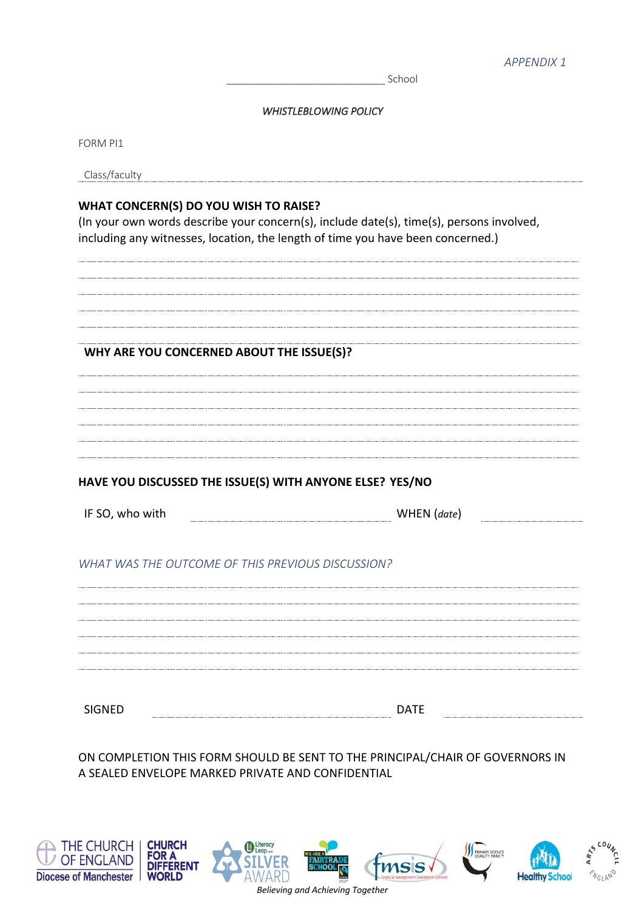School

#### *WHISTLEBLOWING POLICY*

FORM PI1

| Class/faculty |  |
|---------------|--|
|               |  |

## **WHAT CONCERN(S) DO YOU WISH TO RAISE?**

(In your own words describe your concern(s), include date(s), time(s), persons involved, including any witnesses, location, the length of time you have been concerned.)

## **WHY ARE YOU CONCERNED ABOUT THE ISSUE(S)?**

## **HAVE YOU DISCUSSED THE ISSUE(S) WITH ANYONE ELSE? YES/NO**

| IF SO, who with | WHEN (date) |  |
|-----------------|-------------|--|
|                 |             |  |

## *WHAT WAS THE OUTCOME OF THIS PREVIOUS DISCUSSION?*

| '' |  |  |
|----|--|--|
|    |  |  |

ON COMPLETION THIS FORM SHOULD BE SENT TO THE PRINCIPAL/CHAIR OF GOVERNORS IN A SEALED ENVELOPE MARKED PRIVATE AND CONFIDENTIAL